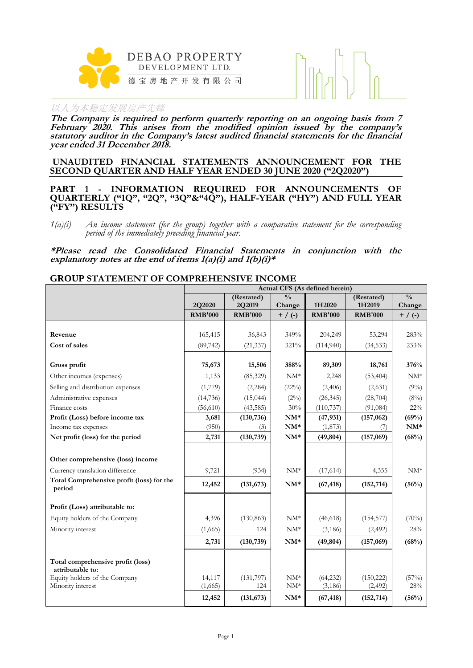



**The Company is required to perform quarterly reporting on an ongoing basis from 7 February 2020. This arises from the modified opinion issued by the company's statutory auditor in the Company's latest audited financial statements for the financial year ended 31 December 2018.**

#### **UNAUDITED FINANCIAL STATEMENTS ANNOUNCEMENT FOR THE SECOND QUARTER AND HALF YEAR ENDED 30 JUNE 2020 ("2Q2020")**

**PART 1 - INFORMATION REQUIRED FOR ANNOUNCEMENTS OF QUARTERLY ("1Q", "2Q", "3Q"&"4Q"), HALF-YEAR ("HY") AND FULL YEAR ("FY") RESULTS**

*1(a)(i) An income statement (for the group) together with a comparative statement for the corresponding period of the immediately preceding financial year.*

**\*Please read the Consolidated Financial Statements in conjunction with the explanatory notes at the end of items 1(a)(i) and 1(b)(i)\***

#### **GROUP STATEMENT OF COMPREHENSIVE INCOME**

|                                                       | Actual CFS (As defined herein) |                |                 |                |                |               |  |
|-------------------------------------------------------|--------------------------------|----------------|-----------------|----------------|----------------|---------------|--|
|                                                       |                                | (Restated)     | $\frac{0}{0}$   |                | (Restated)     | $\frac{0}{0}$ |  |
|                                                       | 2Q2020                         | 2Q2019         | Change          | 1H2020         | 1H2019         | Change        |  |
|                                                       | <b>RMB'000</b>                 | <b>RMB'000</b> | $+$ / (-)       | <b>RMB'000</b> | <b>RMB'000</b> | $+$ / (-)     |  |
| Revenue                                               | 165,415                        | 36,843         | 349%            | 204,249        | 53,294         | 283%          |  |
| Cost of sales                                         | (89, 742)                      | (21, 337)      | 321%            | (114,940)      | (34, 533)      | 233%          |  |
|                                                       |                                |                |                 |                |                |               |  |
| Gross profit                                          | 75,673                         | 15,506         | 388%            | 89,309         | 18,761         | 376%          |  |
| Other incomes (expenses)                              | 1,133                          | (85, 329)      | $\mathrm{NM}^*$ | 2,248          | (53, 404)      | $NM^*$        |  |
| Selling and distribution expenses                     | (1,779)                        | (2, 284)       | (22%)           | (2,406)        | (2,631)        | $(9\%)$       |  |
| Administrative expenses                               | (14, 736)                      | (15, 044)      | (2%)            | (26, 345)      | (28, 704)      | $(8\%)$       |  |
| Finance costs                                         | (56, 610)                      | (43, 585)      | 30%             | (110, 737)     | (91, 084)      | $22\%$        |  |
| Profit (Loss) before income tax                       | 3,681                          | (130, 736)     | $NM^*$          | (47, 931)      | (157, 062)     | (69%)         |  |
| Income tax expenses                                   | (950)                          | (3)            | $NM^*$          | (1,873)        |                | $NM*$         |  |
| Net profit (loss) for the period                      | 2,731                          | (130, 739)     | $NM^*$          | (49, 804)      | (157,069)      | (68%)         |  |
|                                                       |                                |                |                 |                |                |               |  |
| Other comprehensive (loss) income                     |                                |                |                 |                |                |               |  |
| Currency translation difference                       | 9,721                          | (934)          | $NM^*$          | (17,614)       | 4,355          | $NM^*$        |  |
| Total Comprehensive profit (loss) for the<br>period   | 12,452                         | (131, 673)     | $NM^*$          | (67, 418)      | (152, 714)     | (56%)         |  |
| Profit (Loss) attributable to:                        |                                |                |                 |                |                |               |  |
| Equity holders of the Company                         | 4,396                          | (130, 863)     | $NM^*$          | (46,618)       | (154, 577)     | (70%)         |  |
| Minority interest                                     | (1,665)                        | 124            | $NM^*$          | (3,186)        | (2, 492)       | 28%           |  |
|                                                       | 2,731                          | (130, 739)     | $NM^*$          | (49, 804)      | (157,069)      | (68%)         |  |
|                                                       |                                |                |                 |                |                |               |  |
| Total comprehensive profit (loss)<br>attributable to: |                                |                |                 |                |                |               |  |
| Equity holders of the Company                         | 14,117                         | (131, 797)     | $NM^*$          | (64, 232)      | (150, 222)     | (57%)         |  |
| Minority interest                                     | (1,665)                        | 124            | $NM^*$          | (3, 186)       | (2, 492)       | 28%           |  |
|                                                       | 12,452                         | (131, 673)     | $NM^*$          | (67, 418)      | (152, 714)     | (56%)         |  |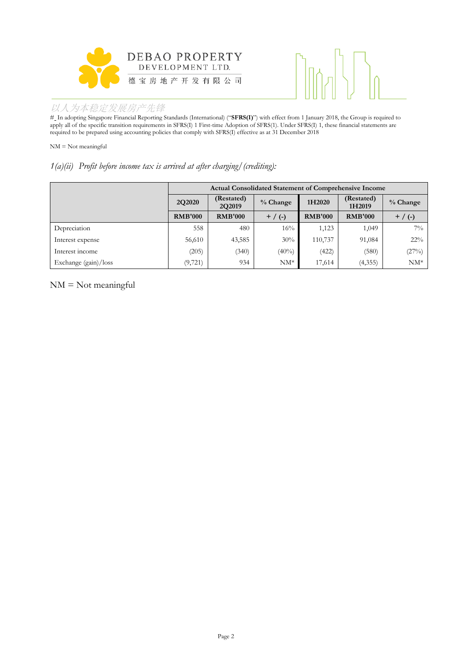



# In adopting Singapore Financial Reporting Standards (International) ("**SFRS(I)**") with effect from 1 January 2018, the Group is required to apply all of the specific transition requirements in SFRS(I) 1 First-time Adoption of SFRS(1). Under SFRS(I) 1, these financial statements are required to be prepared using accounting policies that comply with SFRS(I) effective as at 31 December 2018

NM = Not meaningful

#### *1(a)(ii) Profit before income tax is arrived at after charging/(crediting):*

|                      | <b>Actual Consolidated Statement of Comprehensive Income</b> |                      |           |                |                      |           |  |
|----------------------|--------------------------------------------------------------|----------------------|-----------|----------------|----------------------|-----------|--|
|                      | 2Q2020                                                       | (Restated)<br>2Q2019 | % Change  | 1H2020         | (Restated)<br>1H2019 | % Change  |  |
|                      | <b>RMB'000</b>                                               | <b>RMB'000</b>       | $+$ / (-) | <b>RMB'000</b> | <b>RMB'000</b>       | $+$ / (-) |  |
| Depreciation         | 558                                                          | 480                  | $16\%$    | 1,123          | 1,049                | $7\%$     |  |
| Interest expense     | 56,610                                                       | 43,585               | 30%       | 110,737        | 91,084               | $22\%$    |  |
| Interest income      | (205)                                                        | (340)                | $(40\%)$  | (422)          | (580)                | (27%)     |  |
| Exchange (gain)/loss | (9, 721)                                                     | 934                  | $NM^*$    | 17,614         | (4,355)              | $NM^*$    |  |

NM = Not meaningful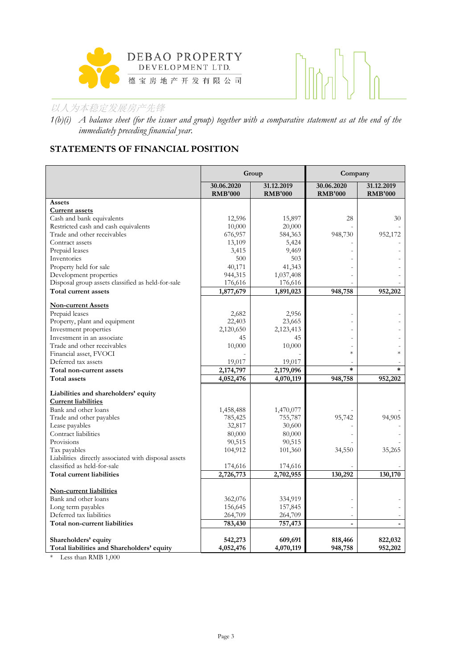



*1(b)(i) A balance sheet (for the issuer and group) together with a comparative statement as at the end of the immediately preceding financial year.*

# **STATEMENTS OF FINANCIAL POSITION**

|                                                      |                              | Group                        | Company                      |                              |
|------------------------------------------------------|------------------------------|------------------------------|------------------------------|------------------------------|
|                                                      | 30.06.2020<br><b>RMB'000</b> | 31.12.2019<br><b>RMB'000</b> | 30.06.2020<br><b>RMB'000</b> | 31.12.2019<br><b>RMB'000</b> |
| Assets                                               |                              |                              |                              |                              |
| <b>Current assets</b>                                |                              |                              |                              |                              |
| Cash and bank equivalents                            | 12,596                       | 15,897                       | 28                           | 30                           |
| Restricted cash and cash equivalents                 | 10,000                       | 20,000                       |                              |                              |
| Trade and other receivables                          | 676,957                      | 584,363                      | 948,730                      | 952,172                      |
| Contract assets                                      | 13,109                       | 5,424                        |                              |                              |
| Prepaid leases                                       | 3,415                        | 9,469                        |                              |                              |
| Inventories                                          | 500                          | 503                          |                              |                              |
| Property held for sale                               | 40,171                       | 41,343                       |                              |                              |
| Development properties                               | 944,315                      | 1,037,408                    |                              |                              |
| Disposal group assets classified as held-for-sale    | 176,616                      | 176,616                      |                              |                              |
| Total current assets                                 | 1,877,679                    | 1,891,023                    | 948,758                      | 952,202                      |
| <b>Non-current Assets</b>                            |                              |                              |                              |                              |
| Prepaid leases                                       | 2,682                        | 2,956                        |                              |                              |
| Property, plant and equipment                        | 22,403                       | 23,665                       |                              |                              |
| Investment properties                                | 2,120,650                    | 2,123,413                    |                              |                              |
| Investment in an associate                           | 45                           | 45                           |                              |                              |
| Trade and other receivables                          | 10,000                       | 10,000                       |                              |                              |
| Financial asset, FVOCI                               |                              |                              | $\ast$                       | $\ast$                       |
| Deferred tax assets                                  | 19,017                       | 19,017                       |                              |                              |
| Total non-current assets                             | 2,174,797                    | 2,179,096                    | $\ast$                       | $\ast$                       |
| Total assets                                         | 4,052,476                    | 4,070,119                    | 948,758                      | 952,202                      |
| Liabilities and shareholders' equity                 |                              |                              |                              |                              |
| <b>Current liabilities</b>                           |                              |                              |                              |                              |
| Bank and other loans                                 | 1,458,488                    | 1,470,077                    |                              |                              |
| Trade and other payables                             | 785,425                      | 755,787                      | 95,742                       | 94,905                       |
| Lease payables                                       | 32,817                       | 30,600                       |                              |                              |
| Contract liabilities                                 | 80,000                       | 80,000                       |                              |                              |
| Provisions                                           | 90,515                       | 90,515                       |                              |                              |
| Tax payables                                         | 104,912                      | 101,360                      | 34,550                       | 35,265                       |
| Liabilities directly associated with disposal assets |                              |                              |                              |                              |
| classified as held-for-sale                          | 174,616                      | 174,616                      |                              |                              |
| Total current liabilities                            | 2,726,773                    | 2,702,955                    | 130,292                      | 130,170                      |
|                                                      |                              |                              |                              |                              |
| <b>Non-current liabilities</b>                       |                              |                              |                              |                              |
| Bank and other loans                                 | 362,076                      | 334,919                      |                              |                              |
| Long term payables                                   | 156,645                      | 157,845                      |                              |                              |
| Deferred tax liabilities                             | 264,709                      | 264,709                      |                              |                              |
| Total non-current liabilities                        | 783,430                      | 757,473                      |                              |                              |
| Shareholders' equity                                 | 542,273                      | 609,691                      | 818,466                      | 822,032                      |
| Total liabilities and Shareholders' equity           | 4,052,476                    | 4,070,119                    | 948,758                      | 952,202                      |

\* Less than RMB 1,000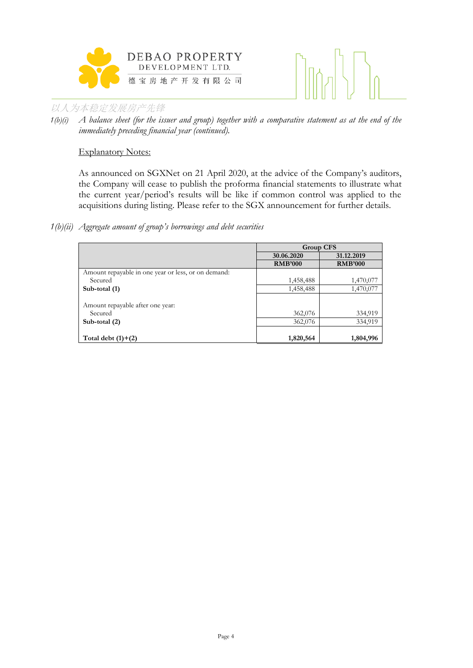



*1(b)(i) A balance sheet (for the issuer and group) together with a comparative statement as at the end of the immediately preceding financial year (continued).*

#### Explanatory Notes:

As announced on SGXNet on 21 April 2020, at the advice of the Company's auditors, the Company will cease to publish the proforma financial statements to illustrate what the current year/period's results will be like if common control was applied to the acquisitions during listing. Please refer to the SGX announcement for further details.

#### *1(b)(ii) Aggregate amount of group's borrowings and debt securities*

|                                                     | <b>Group CFS</b> |                |  |
|-----------------------------------------------------|------------------|----------------|--|
|                                                     | 30.06.2020       | 31.12.2019     |  |
|                                                     | <b>RMB'000</b>   | <b>RMB'000</b> |  |
| Amount repayable in one year or less, or on demand: |                  |                |  |
| Secured                                             | 1,458,488        | 1,470,077      |  |
| Sub-total (1)                                       | 1,458,488        | 1,470,077      |  |
|                                                     |                  |                |  |
| Amount repayable after one year:                    |                  |                |  |
| Secured                                             | 362,076          | 334,919        |  |
| Sub-total $(2)$                                     | 362,076          | 334,919        |  |
|                                                     |                  |                |  |
| Total debt $(1)+(2)$                                | 1,820,564        | 1,804,996      |  |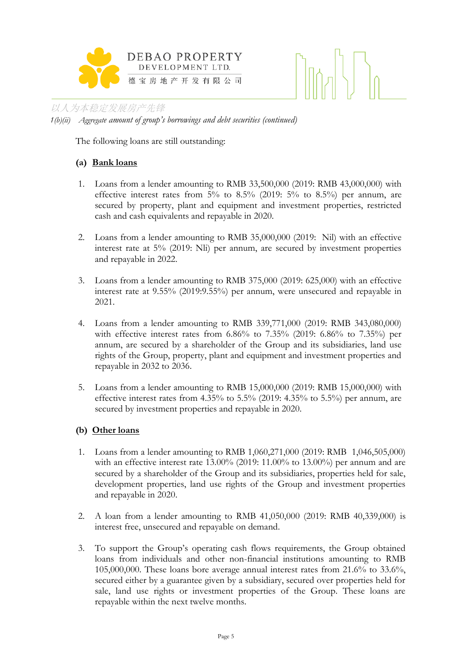



以人为本稳定发展房产先锋 *1(b)(ii) Aggregate amount of group's borrowings and debt securities (continued)*

The following loans are still outstanding:

# **(a) Bank loans**

- 1. Loans from a lender amounting to RMB 33,500,000 (2019: RMB 43,000,000) with effective interest rates from  $5\%$  to  $8.5\%$  (2019:  $5\%$  to  $8.5\%$ ) per annum, are secured by property, plant and equipment and investment properties, restricted cash and cash equivalents and repayable in 2020.
- 2. Loans from a lender amounting to RMB 35,000,000 (2019: Nil) with an effective interest rate at 5% (2019: Nli) per annum, are secured by investment properties and repayable in 2022.
- 3. Loans from a lender amounting to RMB 375,000 (2019: 625,000) with an effective interest rate at 9.55% (2019:9.55%) per annum, were unsecured and repayable in 2021.
- 4. Loans from a lender amounting to RMB 339,771,000 (2019: RMB 343,080,000) with effective interest rates from 6.86% to 7.35% (2019: 6.86% to 7.35%) per annum, are secured by a shareholder of the Group and its subsidiaries, land use rights of the Group, property, plant and equipment and investment properties and repayable in 2032 to 2036.
- 5. Loans from a lender amounting to RMB 15,000,000 (2019: RMB 15,000,000) with effective interest rates from  $4.35\%$  to  $5.5\%$  (2019:  $4.35\%$  to  $5.5\%$ ) per annum, are secured by investment properties and repayable in 2020.

# **(b) Other loans**

- 1. Loans from a lender amounting to RMB 1,060,271,000 (2019: RMB 1,046,505,000) with an effective interest rate 13.00% (2019: 11.00% to 13.00%) per annum and are secured by a shareholder of the Group and its subsidiaries, properties held for sale, development properties, land use rights of the Group and investment properties and repayable in 2020.
- 2. A loan from a lender amounting to RMB 41,050,000 (2019: RMB 40,339,000) is interest free, unsecured and repayable on demand.
- 3. To support the Group's operating cash flows requirements, the Group obtained loans from individuals and other non-financial institutions amounting to RMB 105,000,000. These loans bore average annual interest rates from 21.6% to 33.6%, secured either by a guarantee given by a subsidiary, secured over properties held for sale, land use rights or investment properties of the Group. These loans are repayable within the next twelve months.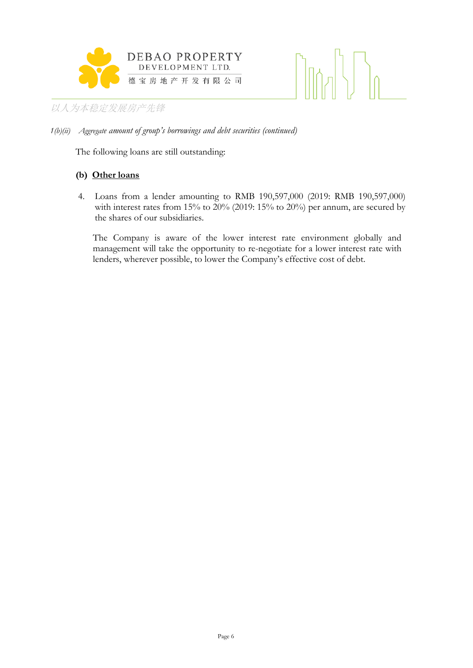



The following loans are still outstanding:

#### **(b) Other loans**

4. Loans from a lender amounting to RMB 190,597,000 (2019: RMB 190,597,000) with interest rates from 15% to 20% (2019: 15% to 20%) per annum, are secured by the shares of our subsidiaries.

The Company is aware of the lower interest rate environment globally and management will take the opportunity to re-negotiate for a lower interest rate with lenders, wherever possible, to lower the Company's effective cost of debt.

*<sup>1(</sup>b)(ii) Aggregate amount of group's borrowings and debt securities (continued)*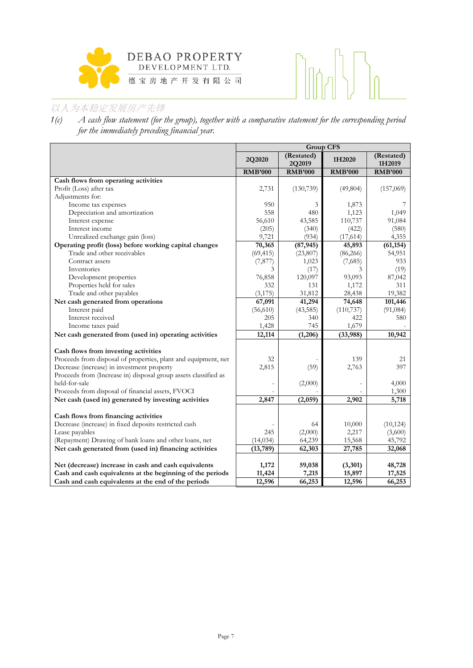



*1(c) A cash flow statement (for the group), together with a comparative statement for the corresponding period for the immediately preceding financial year.*

|                                                                 | Group CFS      |                      |                |                      |  |
|-----------------------------------------------------------------|----------------|----------------------|----------------|----------------------|--|
|                                                                 | 2Q2020         | (Restated)<br>2Q2019 | 1H2020         | (Restated)<br>1H2019 |  |
|                                                                 | <b>RMB'000</b> | <b>RMB'000</b>       | <b>RMB'000</b> | <b>RMB'000</b>       |  |
| Cash flows from operating activities                            |                |                      |                |                      |  |
| Profit (Loss) after tax                                         | 2,731          | (130, 739)           | (49, 804)      | (157,069)            |  |
| Adjustments for:                                                |                |                      |                |                      |  |
| Income tax expenses                                             | 950            | 3                    | 1,873          |                      |  |
| Depreciation and amortization                                   | 558            | 480                  | 1,123          | 1,049                |  |
| Interest expense                                                | 56,610         | 43,585               | 110,737        | 91,084               |  |
| Interest income                                                 | (205)          | (340)                | (422)          | (580)                |  |
| Unrealized exchange gain (loss)                                 | 9,721          | (934)                | (17,614)       | 4,355                |  |
| Operating profit (loss) before working capital changes          | 70,365         | (87, 945)            | 45,893         | (61, 154)            |  |
| Trade and other receivables                                     | (69, 415)      | (23,807)             | (86,266)       | 54,951               |  |
| Contract assets                                                 | (7, 877)       | 1,023                | (7,685)        | 933                  |  |
| Inventories                                                     | 3              | (17)                 | 3              | (19)                 |  |
| Development properties                                          | 76,858         | 120,097              | 93,093         | 87,042               |  |
| Properties held for sales                                       | 332            | 131                  | 1,172          | 311                  |  |
| Trade and other payables                                        | (3, 175)       | 31,812               | 28,438         | 19,382               |  |
| Net cash generated from operations                              | 67,091         | 41,294               | 74,648         | 101,446              |  |
| Interest paid                                                   | (56,610)       | (43, 585)            | (110, 737)     | (91,084)             |  |
| Interest received                                               | 205            | 340                  | 422            | 580                  |  |
| Income taxes paid                                               | 1,428          | 745                  | 1,679          |                      |  |
| Net cash generated from (used in) operating activities          | 12,114         | (1,206)              | (33,988)       | 10,942               |  |
| Cash flows from investing activities                            |                |                      |                |                      |  |
| Proceeds from disposal of properties, plant and equipment, net  | 32             |                      | 139            | 21                   |  |
| Decrease (increase) in investment property                      | 2,815          | (59)                 | 2,763          | 397                  |  |
| Proceeds from (Increase in) disposal group assets classified as |                |                      |                |                      |  |
| held-for-sale                                                   |                | (2,000)              |                | 4,000                |  |
| Proceeds from disposal of financial assets, FVOCI               |                |                      |                | 1,300                |  |
| Net cash (used in) generated by investing activities            | 2,847          | (2,059)              | 2,902          | 5,718                |  |
| Cash flows from financing activities                            |                |                      |                |                      |  |
| Decrease (increase) in fixed deposits restricted cash           |                | 64                   | 10,000         | (10, 124)            |  |
| Lease payables                                                  | 245            | (2,000)              | 2,217          | (3,600)              |  |
| (Repayment) Drawing of bank loans and other loans, net          | (14, 034)      | 64,239               | 15,568         | 45,792               |  |
| Net cash generated from (used in) financing activities          | (13,789)       | 62,303               | 27,785         | 32,068               |  |
|                                                                 |                |                      |                |                      |  |
| Net (decrease) increase in cash and cash equivalents            | 1,172          | 59,038               | (3,301)        | 48,728               |  |
| Cash and cash equivalents at the beginning of the periods       | 11,424         | 7,215                | 15,897         | 17,525               |  |
| Cash and cash equivalents at the end of the periods             | 12,596         | 66,253               | 12,596         | 66,253               |  |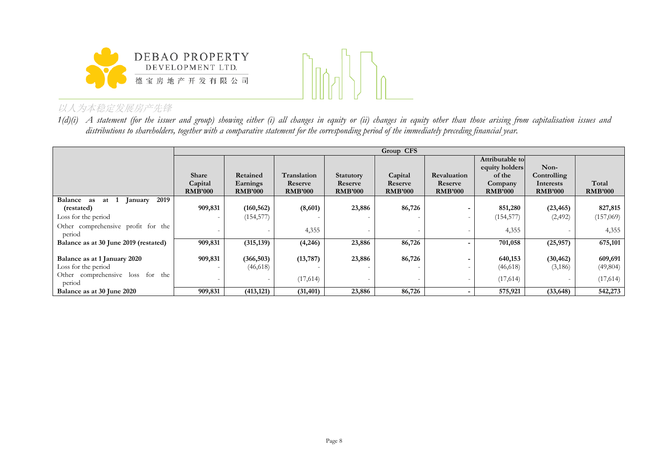



*1(d)(i) A statement (for the issuer and group) showing either (i) all changes in equity or (ii) changes in equity other than those arising from capitalisation issues and distributions to shareholders, together with a comparative statement for the corresponding period of the immediately preceding financial year.*

|                                                     |                           | Group CFS                  |                           |                           |                           |                           |                           |                             |                         |
|-----------------------------------------------------|---------------------------|----------------------------|---------------------------|---------------------------|---------------------------|---------------------------|---------------------------|-----------------------------|-------------------------|
|                                                     |                           |                            |                           |                           |                           |                           | Attributable to           |                             |                         |
|                                                     |                           |                            |                           |                           |                           |                           | equity holders            | Non-                        |                         |
|                                                     | Share                     | Retained                   | Translation               | <b>Statutory</b>          | Capital                   | Revaluation               | of the                    | Controlling                 |                         |
|                                                     | Capital<br><b>RMB'000</b> | Earnings<br><b>RMB'000</b> | Reserve<br><b>RMB'000</b> | Reserve<br><b>RMB'000</b> | Reserve<br><b>RMB'000</b> | Reserve<br><b>RMB'000</b> | Company<br><b>RMB'000</b> | Interests<br><b>RMB'000</b> | Total<br><b>RMB'000</b> |
| <b>Balance</b><br>2019<br>at 1<br>as<br>January     |                           |                            |                           |                           |                           |                           |                           |                             |                         |
| (restated)                                          | 909,831                   | (160, 562)                 | (8,601)                   | 23,886                    | 86,726                    |                           | 851,280                   | (23, 465)                   | 827,815                 |
| Loss for the period                                 |                           | (154, 577)                 |                           |                           |                           |                           | (154, 577)                | (2, 492)                    | (157,069)               |
| Other comprehensive profit for the<br>period        |                           |                            | 4,355                     |                           |                           |                           | 4,355                     |                             | 4,355                   |
| Balance as at 30 June 2019 (restated)               | 909,831                   | (315, 139)                 | (4,246)                   | 23,886                    | 86,726                    |                           | 701,058                   | (25,957)                    | 675,101                 |
|                                                     |                           |                            |                           |                           |                           |                           |                           |                             |                         |
| Balance as at 1 January 2020<br>Loss for the period | 909,831                   | (366, 503)                 | (13, 787)                 | 23,886                    | 86,726                    |                           | 640,153                   | (30, 462)                   | 609,691                 |
|                                                     |                           | (46,618)                   |                           |                           |                           |                           | (46,618)                  | (3,186)                     | (49, 804)               |
| Other comprehensive loss for the<br>period          |                           | $\overline{\phantom{0}}$   | (17,614)                  |                           |                           |                           | (17,614)                  |                             | (17,614)                |
| Balance as at 30 June 2020                          | 909,831                   | (413, 121)                 | (31, 401)                 | 23,886                    | 86,726                    | $\overline{\phantom{0}}$  | 575,921                   | (33, 648)                   | 542,273                 |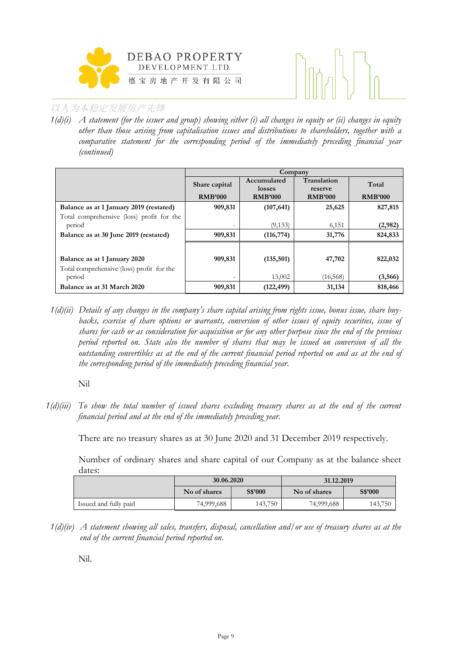



*1(d)(i) A statement (for the issuer and group) showing either (i) all changes in equity or (ii) changes in equity other than those arising from capitalisation issues and distributions to shareholders, together with a comparative statement for the corresponding period of the immediately preceding financial year (continued)*

|                                           | Company                  |                       |                        |                |  |  |
|-------------------------------------------|--------------------------|-----------------------|------------------------|----------------|--|--|
|                                           | Share capital            | Accumulated<br>losses | Translation<br>reserve | Total          |  |  |
|                                           | <b>RMB'000</b>           | <b>RMB'000</b>        | <b>RMB'000</b>         | <b>RMB'000</b> |  |  |
| Balance as at 1 January 2019 (restated)   | 909,831                  | (107, 641)            | 25,625                 | 827,815        |  |  |
| Total comprehensive (loss) profit for the |                          |                       |                        |                |  |  |
| period                                    | $\overline{\phantom{0}}$ | (9, 133)              | 6,151                  | (2,982)        |  |  |
| Balance as at 30 June 2019 (restated)     | 909,831                  | (116, 774)            | 31,776                 | 824,833        |  |  |
|                                           |                          |                       |                        |                |  |  |
| Balance as at 1 January 2020              | 909,831                  | (135,501)             | 47,702                 | 822,032        |  |  |
| Total comprehensive (loss) profit for the |                          |                       |                        |                |  |  |
| period                                    | $\equiv$                 | 13,002                | (16, 568)              | (3,566)        |  |  |
| Balance as at 31 March 2020               | 909,831                  | (122, 499)            | 31,134                 | 818,466        |  |  |

*1(d)(ii) Details of any changes in the company's share capital arising from rights issue, bonus issue, share buy*backs, exercise of share options or warrants, conversion of other issues of equity securities, issue of *shares for cash or as consideration for acquisition or for any other purpose since the end of the previous period reported on. State also the number of shares that may be issued on conversion of all the outstanding convertibles as at the end of the current financial period reported on and as at the end of the corresponding period of the immediately preceding financial year.*

Nil

*1(d)(iii) To show the total number of issued shares excluding treasury shares as at the end of the current financial period and at the end of the immediately preceding year.* 

There are no treasury shares as at 30 June 2020 and 31 December 2019 respectively.

Number of ordinary shares and share capital of our Company as at the balance sheet dates:

|                       | 30.06.2020   |         | 31.12.2019 |                |  |
|-----------------------|--------------|---------|------------|----------------|--|
|                       | No of shares | S\$'000 |            | <b>S\$'000</b> |  |
| Issued and fully paid | 74,999,688   | 143,750 | 74,999,688 | 143,750        |  |

*1(d)(iv) A statement showing all sales, transfers, disposal, cancellation and/or use of treasury shares as at the end of the current financial period reported on*.

Nil.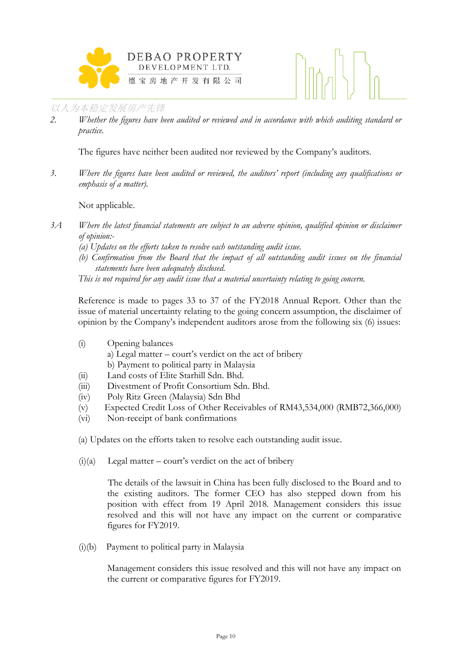



*2. Whether the figures have been audited or reviewed and in accordance with which auditing standard or practice.*

The figures have neither been audited nor reviewed by the Company's auditors.

*3. Where the figures have been audited or reviewed, the auditors' report (including any qualifications or emphasis of a matter).*

Not applicable.

- *3A Where the latest financial statements are subject to an adverse opinion, qualified opinion or disclaimer of opinion:-*
	- *(a) Updates on the efforts taken to resolve each outstanding audit issue.*
	- *(b) Confirmation from the Board that the impact of all outstanding audit issues on the financial statements have been adequately disclosed.*

*This is not required for any audit issue that a material uncertainty relating to going concern.* 

Reference is made to pages 33 to 37 of the FY2018 Annual Report. Other than the issue of material uncertainty relating to the going concern assumption, the disclaimer of opinion by the Company's independent auditors arose from the following six (6) issues:

(i) Opening balances

a) Legal matter – court's verdict on the act of bribery b) Payment to political party in Malaysia

- (ii) Land costs of Elite Starhill Sdn. Bhd.
- (iii) Divestment of Profit Consortium Sdn. Bhd.
- (iv) Poly Ritz Green (Malaysia) Sdn Bhd
- (v) Expected Credit Loss of Other Receivables of RM43,534,000 (RMB72,366,000)
- (vi) Non-receipt of bank confirmations
- (a) Updates on the efforts taken to resolve each outstanding audit issue.
- $(i)(a)$  Legal matter court's verdict on the act of bribery

 The details of the lawsuit in China has been fully disclosed to the Board and to the existing auditors. The former CEO has also stepped down from his position with effect from 19 April 2018. Management considers this issue resolved and this will not have any impact on the current or comparative figures for FY2019.

(i)(b) Payment to political party in Malaysia

Management considers this issue resolved and this will not have any impact on the current or comparative figures for FY2019.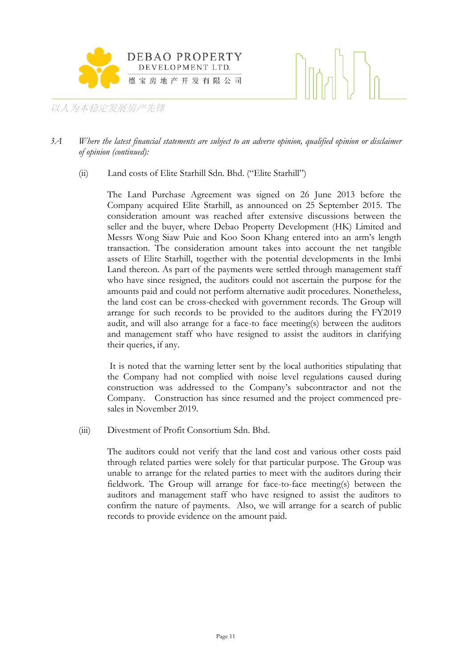



#### *3A Where the latest financial statements are subject to an adverse opinion, qualified opinion or disclaimer of opinion (continued):*

(ii) Land costs of Elite Starhill Sdn. Bhd. ("Elite Starhill")

The Land Purchase Agreement was signed on 26 June 2013 before the Company acquired Elite Starhill, as announced on 25 September 2015. The consideration amount was reached after extensive discussions between the seller and the buyer, where Debao Property Development (HK) Limited and Messrs Wong Siaw Puie and Koo Soon Khang entered into an arm's length transaction. The consideration amount takes into account the net tangible assets of Elite Starhill, together with the potential developments in the Imbi Land thereon. As part of the payments were settled through management staff who have since resigned, the auditors could not ascertain the purpose for the amounts paid and could not perform alternative audit procedures. Nonetheless, the land cost can be cross-checked with government records. The Group will arrange for such records to be provided to the auditors during the FY2019 audit, and will also arrange for a face-to face meeting(s) between the auditors and management staff who have resigned to assist the auditors in clarifying their queries, if any.

It is noted that the warning letter sent by the local authorities stipulating that the Company had not complied with noise level regulations caused during construction was addressed to the Company's subcontractor and not the Company. Construction has since resumed and the project commenced presales in November 2019.

(iii) Divestment of Profit Consortium Sdn. Bhd.

The auditors could not verify that the land cost and various other costs paid through related parties were solely for that particular purpose. The Group was unable to arrange for the related parties to meet with the auditors during their fieldwork. The Group will arrange for face-to-face meeting(s) between the auditors and management staff who have resigned to assist the auditors to confirm the nature of payments. Also, we will arrange for a search of public records to provide evidence on the amount paid.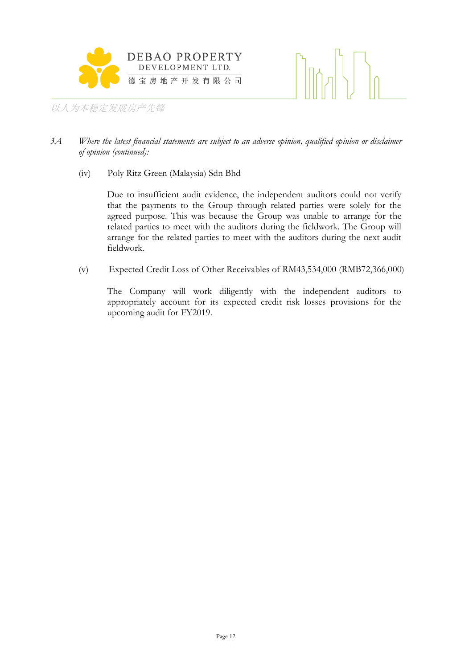



### *3A Where the latest financial statements are subject to an adverse opinion, qualified opinion or disclaimer of opinion (continued):*

(iv) Poly Ritz Green (Malaysia) Sdn Bhd

Due to insufficient audit evidence, the independent auditors could not verify that the payments to the Group through related parties were solely for the agreed purpose. This was because the Group was unable to arrange for the related parties to meet with the auditors during the fieldwork. The Group will arrange for the related parties to meet with the auditors during the next audit fieldwork.

(v) Expected Credit Loss of Other Receivables of RM43,534,000 (RMB72,366,000)

The Company will work diligently with the independent auditors to appropriately account for its expected credit risk losses provisions for the upcoming audit for FY2019.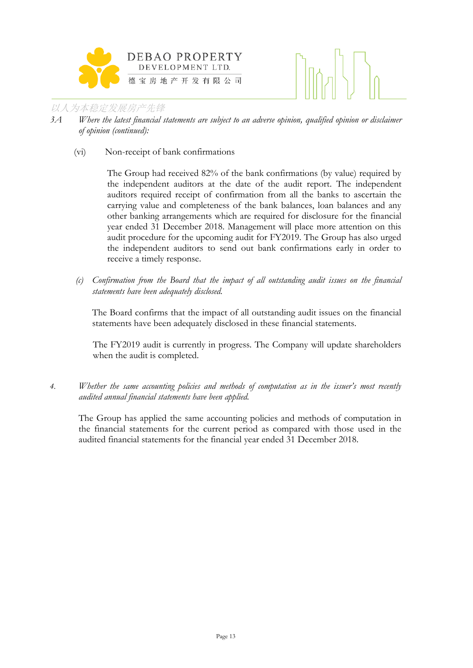

- *3A Where the latest financial statements are subject to an adverse opinion, qualified opinion or disclaimer of opinion (continued):*
	- (vi) Non-receipt of bank confirmations

The Group had received 82% of the bank confirmations (by value) required by the independent auditors at the date of the audit report. The independent auditors required receipt of confirmation from all the banks to ascertain the carrying value and completeness of the bank balances, loan balances and any other banking arrangements which are required for disclosure for the financial year ended 31 December 2018. Management will place more attention on this audit procedure for the upcoming audit for FY2019. The Group has also urged the independent auditors to send out bank confirmations early in order to receive a timely response.

*(c) Confirmation from the Board that the impact of all outstanding audit issues on the financial statements have been adequately disclosed.* 

The Board confirms that the impact of all outstanding audit issues on the financial statements have been adequately disclosed in these financial statements.

The FY2019 audit is currently in progress. The Company will update shareholders when the audit is completed.

*4. Whether the same accounting policies and methods of computation as in the issuer's most recently audited annual financial statements have been applied.*

The Group has applied the same accounting policies and methods of computation in the financial statements for the current period as compared with those used in the audited financial statements for the financial year ended 31 December 2018.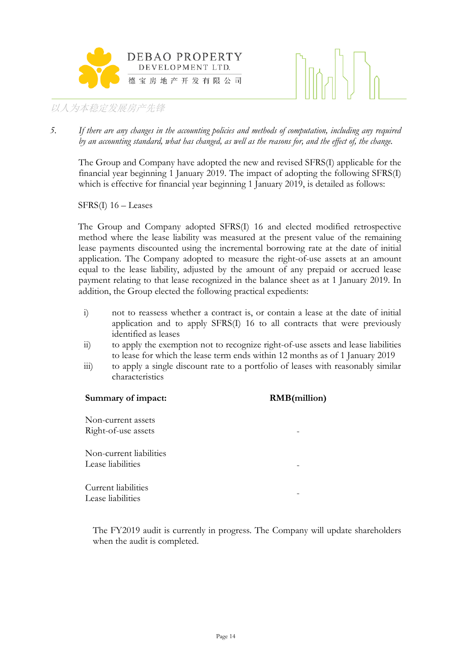



*5. If there are any changes in the accounting policies and methods of computation, including any required by an accounting standard, what has changed, as well as the reasons for, and the effect of, the change.*

The Group and Company have adopted the new and revised SFRS(I) applicable for the financial year beginning 1 January 2019. The impact of adopting the following SFRS(I) which is effective for financial year beginning 1 January 2019, is detailed as follows:

SFRS(I) 16 – Leases

The Group and Company adopted SFRS(I) 16 and elected modified retrospective method where the lease liability was measured at the present value of the remaining lease payments discounted using the incremental borrowing rate at the date of initial application. The Company adopted to measure the right-of-use assets at an amount equal to the lease liability, adjusted by the amount of any prepaid or accrued lease payment relating to that lease recognized in the balance sheet as at 1 January 2019. In addition, the Group elected the following practical expedients:

- i) not to reassess whether a contract is, or contain a lease at the date of initial application and to apply SFRS(I) 16 to all contracts that were previously identified as leases
- ii) to apply the exemption not to recognize right-of-use assets and lease liabilities to lease for which the lease term ends within 12 months as of 1 January 2019
- iii) to apply a single discount rate to a portfolio of leases with reasonably similar characteristics

# **Summary of impact: RMB(million)** Non-current assets Right-of-use assets Non-current liabilities Lease liabilities Current liabilities Lease liabilities

The FY2019 audit is currently in progress. The Company will update shareholders when the audit is completed.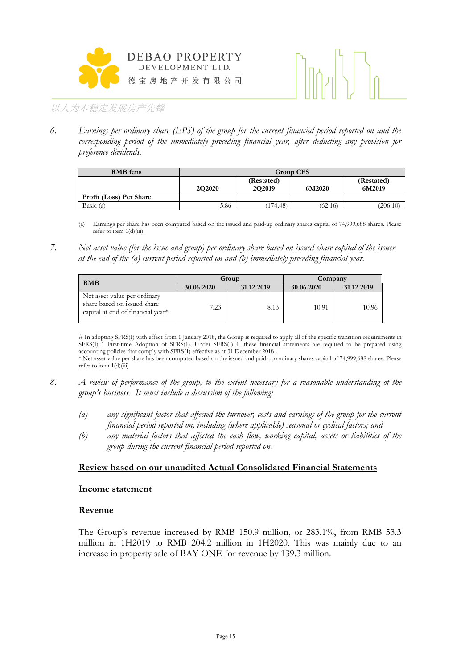



*6. Earnings per ordinary share (EPS) of the group for the current financial period reported on and the corresponding period of the immediately preceding financial year, after deducting any provision for preference dividends.*

| <b>RMB</b> fens         | <b>Group CFS</b> |                      |         |          |  |  |
|-------------------------|------------------|----------------------|---------|----------|--|--|
|                         | <b>2Q2020</b>    | (Restated)<br>6M2019 |         |          |  |  |
| Profit (Loss) Per Share |                  |                      |         |          |  |  |
| Basic $(a)$             | 5.86             | (174.48)             | (62.16) | (206.10) |  |  |

(a) Earnings per share has been computed based on the issued and paid-up ordinary shares capital of 74,999,688 shares. Please refer to item  $1(d)(iii)$ .

*7. Net asset value (for the issue and group) per ordinary share based on issued share capital of the issuer at the end of the (a) current period reported on and (b) immediately preceding financial year.*

| <b>RMB</b>                                                                                       |            | Group      | Company    |            |  |
|--------------------------------------------------------------------------------------------------|------------|------------|------------|------------|--|
|                                                                                                  | 30.06.2020 | 31.12.2019 | 30.06.2020 | 31.12.2019 |  |
| Net asset value per ordinary<br>share based on issued share<br>capital at end of financial year* | 7.23       | 8.13       | 10.91      | 10.96      |  |

# In adopting SFRS(I) with effect from 1 January 2018, the Group is required to apply all of the specific transition requirements in SFRS(I) 1 First-time Adoption of SFRS(1). Under SFRS(I) 1, these financial statements are required to be prepared using accounting policies that comply with SFRS(1) effective as at 31 December 2018 .

\* Net asset value per share has been computed based on the issued and paid-up ordinary shares capital of 74,999,688 shares. Please refer to item  $1(d)$ (iii)

- *8. A review of performance of the group, to the extent necessary for a reasonable understanding of the group's business. It must include a discussion of the following:*
	- *(a) any significant factor that affected the turnover, costs and earnings of the group for the current financial period reported on, including (where applicable) seasonal or cyclical factors; and*
	- *(b) any material factors that affected the cash flow, working capital, assets or liabilities of the group during the current financial period reported on.*

#### **Review based on our unaudited Actual Consolidated Financial Statements**

#### **Income statement**

#### **Revenue**

The Group's revenue increased by RMB 150.9 million, or 283.1%, from RMB 53.3 million in 1H2019 to RMB 204.2 million in 1H2020. This was mainly due to an increase in property sale of BAY ONE for revenue by 139.3 million.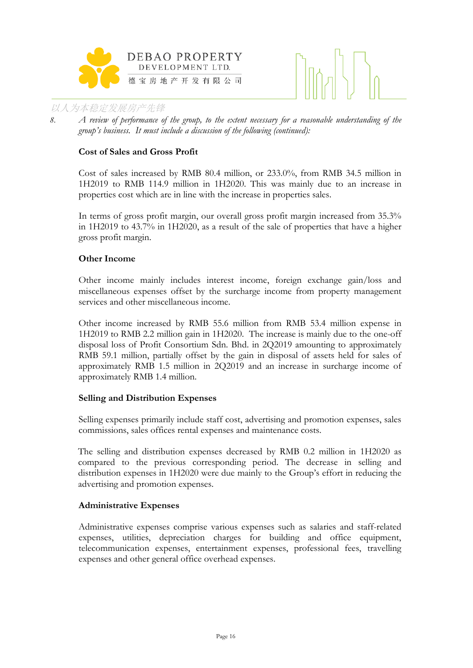



*8. A review of performance of the group, to the extent necessary for a reasonable understanding of the group's business. It must include a discussion of the following (continued):*

#### **Cost of Sales and Gross Profit**

Cost of sales increased by RMB 80.4 million, or 233.0%, from RMB 34.5 million in 1H2019 to RMB 114.9 million in 1H2020. This was mainly due to an increase in properties cost which are in line with the increase in properties sales.

In terms of gross profit margin, our overall gross profit margin increased from 35.3% in 1H2019 to 43.7% in 1H2020, as a result of the sale of properties that have a higher gross profit margin.

#### **Other Income**

Other income mainly includes interest income, foreign exchange gain/loss and miscellaneous expenses offset by the surcharge income from property management services and other miscellaneous income.

Other income increased by RMB 55.6 million from RMB 53.4 million expense in 1H2019 to RMB 2.2 million gain in 1H2020. The increase is mainly due to the one-off disposal loss of Profit Consortium Sdn. Bhd. in 2Q2019 amounting to approximately RMB 59.1 million, partially offset by the gain in disposal of assets held for sales of approximately RMB 1.5 million in 2Q2019 and an increase in surcharge income of approximately RMB 1.4 million.

#### **Selling and Distribution Expenses**

Selling expenses primarily include staff cost, advertising and promotion expenses, sales commissions, sales offices rental expenses and maintenance costs.

The selling and distribution expenses decreased by RMB 0.2 million in 1H2020 as compared to the previous corresponding period. The decrease in selling and distribution expenses in 1H2020 were due mainly to the Group's effort in reducing the advertising and promotion expenses.

#### **Administrative Expenses**

Administrative expenses comprise various expenses such as salaries and staff-related expenses, utilities, depreciation charges for building and office equipment, telecommunication expenses, entertainment expenses, professional fees, travelling expenses and other general office overhead expenses.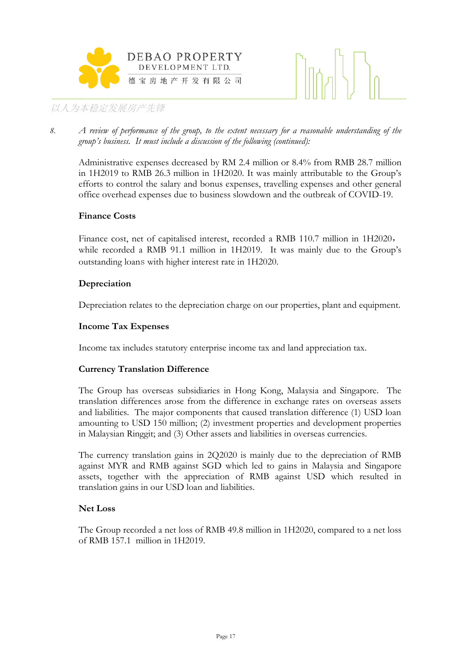



*8. A review of performance of the group, to the extent necessary for a reasonable understanding of the group's business. It must include a discussion of the following (continued):*

Administrative expenses decreased by RM 2.4 million or 8.4% from RMB 28.7 million in 1H2019 to RMB 26.3 million in 1H2020. It was mainly attributable to the Group's efforts to control the salary and bonus expenses, travelling expenses and other general office overhead expenses due to business slowdown and the outbreak of COVID-19.

#### **Finance Costs**

Finance cost, net of capitalised interest, recorded a RMB 110.7 million in 1H2020, while recorded a RMB 91.1 million in 1H2019. It was mainly due to the Group's outstanding loans with higher interest rate in 1H2020.

#### **Depreciation**

Depreciation relates to the depreciation charge on our properties, plant and equipment.

### **Income Tax Expenses**

Income tax includes statutory enterprise income tax and land appreciation tax.

#### **Currency Translation Difference**

The Group has overseas subsidiaries in Hong Kong, Malaysia and Singapore. The translation differences arose from the difference in exchange rates on overseas assets and liabilities. The major components that caused translation difference (1) USD loan amounting to USD 150 million; (2) investment properties and development properties in Malaysian Ringgit; and (3) Other assets and liabilities in overseas currencies.

The currency translation gains in 2Q2020 is mainly due to the depreciation of RMB against MYR and RMB against SGD which led to gains in Malaysia and Singapore assets, together with the appreciation of RMB against USD which resulted in translation gains in our USD loan and liabilities.

#### **Net Loss**

The Group recorded a net loss of RMB 49.8 million in 1H2020, compared to a net loss of RMB 157.1 million in 1H2019.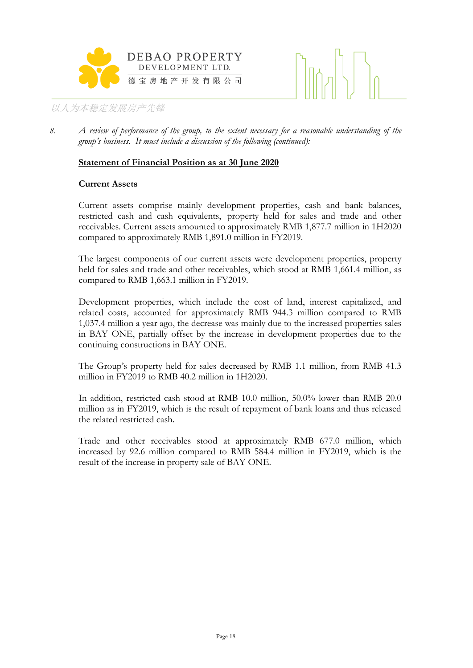



*8. A review of performance of the group, to the extent necessary for a reasonable understanding of the group's business. It must include a discussion of the following (continued):*

#### **Statement of Financial Position as at 30 June 2020**

#### **Current Assets**

Current assets comprise mainly development properties, cash and bank balances, restricted cash and cash equivalents, property held for sales and trade and other receivables. Current assets amounted to approximately RMB 1,877.7 million in 1H2020 compared to approximately RMB 1,891.0 million in FY2019.

The largest components of our current assets were development properties, property held for sales and trade and other receivables, which stood at RMB 1,661.4 million, as compared to RMB 1,663.1 million in FY2019.

Development properties, which include the cost of land, interest capitalized, and related costs, accounted for approximately RMB 944.3 million compared to RMB 1,037.4 million a year ago, the decrease was mainly due to the increased properties sales in BAY ONE, partially offset by the increase in development properties due to the continuing constructions in BAY ONE.

The Group's property held for sales decreased by RMB 1.1 million, from RMB 41.3 million in FY2019 to RMB 40.2 million in 1H2020.

In addition, restricted cash stood at RMB 10.0 million, 50.0% lower than RMB 20.0 million as in FY2019, which is the result of repayment of bank loans and thus released the related restricted cash.

Trade and other receivables stood at approximately RMB 677.0 million, which increased by 92.6 million compared to RMB 584.4 million in FY2019, which is the result of the increase in property sale of BAY ONE.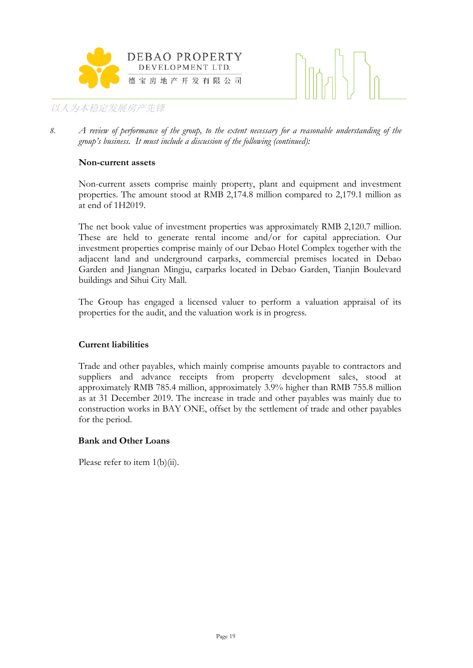



*8. A review of performance of the group, to the extent necessary for a reasonable understanding of the group's business. It must include a discussion of the following (continued):*

#### **Non-current assets**

Non-current assets comprise mainly property, plant and equipment and investment properties. The amount stood at RMB 2,174.8 million compared to 2,179.1 million as at end of 1H2019.

The net book value of investment properties was approximately RMB 2,120.7 million. These are held to generate rental income and/or for capital appreciation. Our investment properties comprise mainly of our Debao Hotel Complex together with the adjacent land and underground carparks, commercial premises located in Debao Garden and Jiangnan Mingju, carparks located in Debao Garden, Tianjin Boulevard buildings and Sihui City Mall.

The Group has engaged a licensed valuer to perform a valuation appraisal of its properties for the audit, and the valuation work is in progress.

#### **Current liabilities**

Trade and other payables, which mainly comprise amounts payable to contractors and suppliers and advance receipts from property development sales, stood at approximately RMB 785.4 million, approximately 3.9% higher than RMB 755.8 million as at 31 December 2019. The increase in trade and other payables was mainly due to construction works in BAY ONE, offset by the settlement of trade and other payables for the period.

#### **Bank and Other Loans**

Please refer to item 1(b)(ii).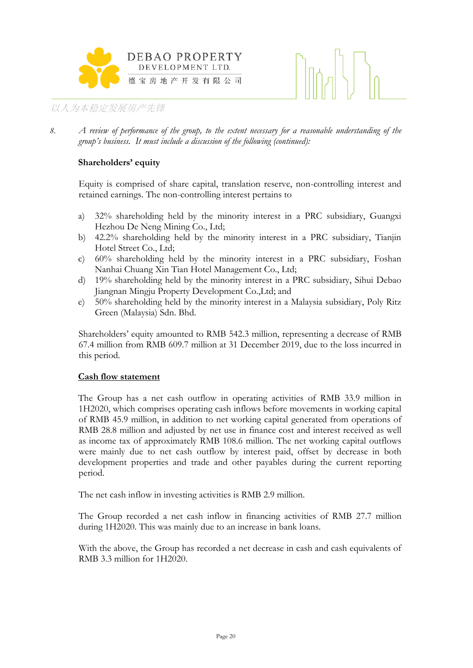



*8. A review of performance of the group, to the extent necessary for a reasonable understanding of the group's business. It must include a discussion of the following (continued):*

### **Shareholders' equity**

Equity is comprised of share capital, translation reserve, non-controlling interest and retained earnings. The non-controlling interest pertains to

- a) 32% shareholding held by the minority interest in a PRC subsidiary, Guangxi Hezhou De Neng Mining Co., Ltd;
- b) 42.2% shareholding held by the minority interest in a PRC subsidiary, Tianjin Hotel Street Co., Ltd;
- c) 60% shareholding held by the minority interest in a PRC subsidiary, Foshan Nanhai Chuang Xin Tian Hotel Management Co., Ltd;
- d) 19% shareholding held by the minority interest in a PRC subsidiary, Sihui Debao Jiangnan Mingju Property Development Co.,Ltd; and
- e) 50% shareholding held by the minority interest in a Malaysia subsidiary, Poly Ritz Green (Malaysia) Sdn. Bhd.

Shareholders' equity amounted to RMB 542.3 million, representing a decrease of RMB 67.4 million from RMB 609.7 million at 31 December 2019, due to the loss incurred in this period.

#### **Cash flow statement**

The Group has a net cash outflow in operating activities of RMB 33.9 million in 1H2020, which comprises operating cash inflows before movements in working capital of RMB 45.9 million, in addition to net working capital generated from operations of RMB 28.8 million and adjusted by net use in finance cost and interest received as well as income tax of approximately RMB 108.6 million. The net working capital outflows were mainly due to net cash outflow by interest paid, offset by decrease in both development properties and trade and other payables during the current reporting period.

The net cash inflow in investing activities is RMB 2.9 million.

The Group recorded a net cash inflow in financing activities of RMB 27.7 million during 1H2020. This was mainly due to an increase in bank loans.

With the above, the Group has recorded a net decrease in cash and cash equivalents of RMB 3.3 million for 1H2020.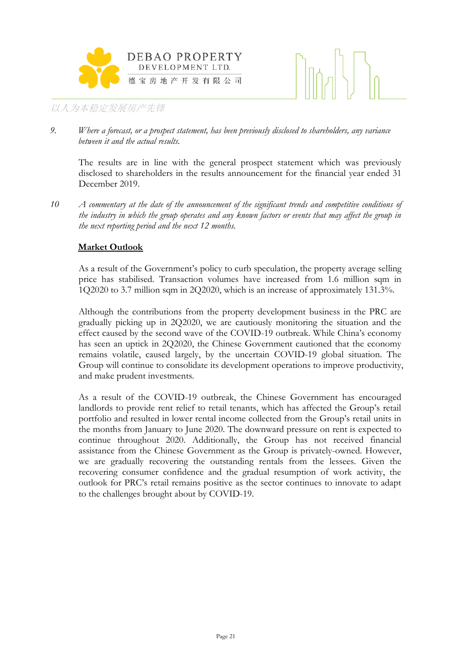



*9. Where a forecast, or a prospect statement, has been previously disclosed to shareholders, any variance between it and the actual results.*

The results are in line with the general prospect statement which was previously disclosed to shareholders in the results announcement for the financial year ended 31 December 2019.

*10 A commentary at the date of the announcement of the significant trends and competitive conditions of the industry in which the group operates and any known factors or events that may affect the group in the next reporting period and the next 12 months.*

### **Market Outlook**

As a result of the Government's policy to curb speculation, the property average selling price has stabilised. Transaction volumes have increased from 1.6 million sqm in 1Q2020 to 3.7 million sqm in 2Q2020, which is an increase of approximately 131.3%.

Although the contributions from the property development business in the PRC are gradually picking up in 2Q2020, we are cautiously monitoring the situation and the effect caused by the second wave of the COVID-19 outbreak. While China's economy has seen an uptick in 2Q2020, the Chinese Government cautioned that the economy remains volatile, caused largely, by the uncertain COVID-19 global situation. The Group will continue to consolidate its development operations to improve productivity, and make prudent investments.

As a result of the COVID-19 outbreak, the Chinese Government has encouraged landlords to provide rent relief to retail tenants, which has affected the Group's retail portfolio and resulted in lower rental income collected from the Group's retail units in the months from January to June 2020. The downward pressure on rent is expected to continue throughout 2020. Additionally, the Group has not received financial assistance from the Chinese Government as the Group is privately-owned. However, we are gradually recovering the outstanding rentals from the lessees. Given the recovering consumer confidence and the gradual resumption of work activity, the outlook for PRC's retail remains positive as the sector continues to innovate to adapt to the challenges brought about by COVID-19.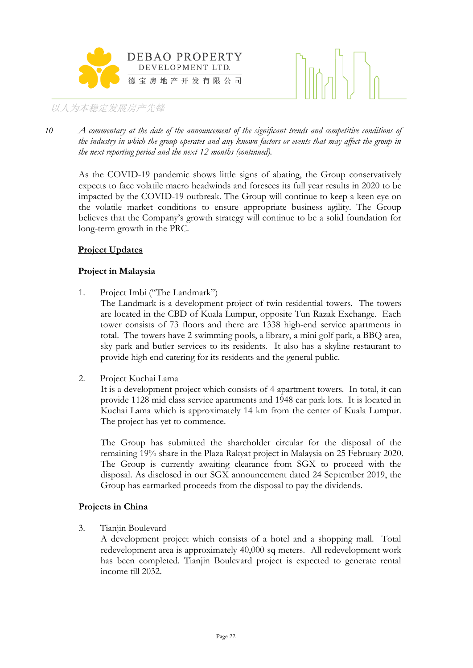



*10 A commentary at the date of the announcement of the significant trends and competitive conditions of the industry in which the group operates and any known factors or events that may affect the group in the next reporting period and the next 12 months (continued).*

As the COVID-19 pandemic shows little signs of abating, the Group conservatively expects to face volatile macro headwinds and foresees its full year results in 2020 to be impacted by the COVID-19 outbreak. The Group will continue to keep a keen eye on the volatile market conditions to ensure appropriate business agility. The Group believes that the Company's growth strategy will continue to be a solid foundation for long-term growth in the PRC.

# **Project Updates**

# **Project in Malaysia**

1. Project Imbi ("The Landmark")

The Landmark is a development project of twin residential towers. The towers are located in the CBD of Kuala Lumpur, opposite Tun Razak Exchange. Each tower consists of 73 floors and there are 1338 high-end service apartments in total. The towers have 2 swimming pools, a library, a mini golf park, a BBQ area, sky park and butler services to its residents. It also has a skyline restaurant to provide high end catering for its residents and the general public.

2. Project Kuchai Lama

It is a development project which consists of 4 apartment towers. In total, it can provide 1128 mid class service apartments and 1948 car park lots. It is located in Kuchai Lama which is approximately 14 km from the center of Kuala Lumpur. The project has yet to commence.

The Group has submitted the shareholder circular for the disposal of the remaining 19% share in the Plaza Rakyat project in Malaysia on 25 February 2020. The Group is currently awaiting clearance from SGX to proceed with the disposal. As disclosed in our SGX announcement dated 24 September 2019, the Group has earmarked proceeds from the disposal to pay the dividends.

#### **Projects in China**

3. Tianjin Boulevard

A development project which consists of a hotel and a shopping mall. Total redevelopment area is approximately 40,000 sq meters. All redevelopment work has been completed. Tianjin Boulevard project is expected to generate rental income till 2032.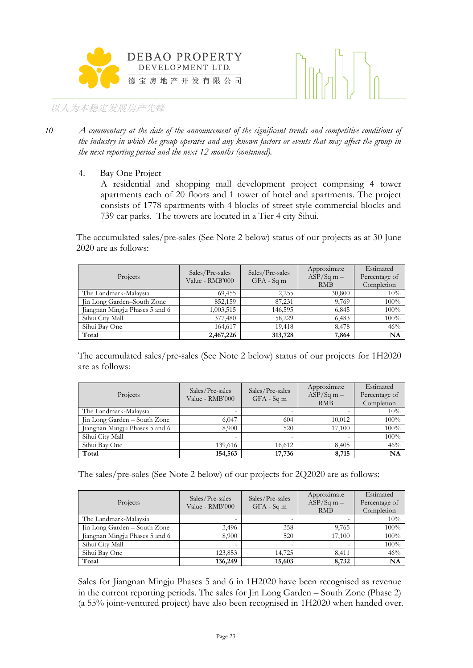



- *10 A commentary at the date of the announcement of the significant trends and competitive conditions of the industry in which the group operates and any known factors or events that may affect the group in the next reporting period and the next 12 months (continued).*
	- 4. Bay One Project

A residential and shopping mall development project comprising 4 tower apartments each of 20 floors and 1 tower of hotel and apartments. The project consists of 1778 apartments with 4 blocks of street style commercial blocks and 739 car parks. The towers are located in a Tier 4 city Sihui.

The accumulated sales/pre-sales (See Note 2 below) status of our projects as at 30 June 2020 are as follows:

| Projects                       | Sales/Pre-sales<br>Value - RMB'000 | Sales/Pre-sales<br>$GFA - Sqm$ | Approximate<br>$ASP/Sq m -$<br><b>RMB</b> | Estimated<br>Percentage of<br>Completion |
|--------------------------------|------------------------------------|--------------------------------|-------------------------------------------|------------------------------------------|
| The Landmark-Malaysia          | 69,455                             | 2,255                          | 30,800                                    | 10%                                      |
| Jin Long Garden-South Zone     | 852,159                            | 87,231                         | 9,769                                     | 100%                                     |
| Jiangnan Mingju Phases 5 and 6 | 1,003,515                          | 146,595                        | 6,845                                     | 100%                                     |
| Sihui City Mall                | 377,480                            | 58,229                         | 6,483                                     | 100%                                     |
| Sihui Bay One                  | 164,617                            | 19.418                         | 8.478                                     | 46%                                      |
| Total                          | 2,467,226                          | 313,728                        | 7,864                                     | NA                                       |

The accumulated sales/pre-sales (See Note 2 below) status of our projects for 1H2020 are as follows:

| Projects                       | Sales/Pre-sales<br>Value - RMB'000 | Sales/Pre-sales<br>$GFA - Sqm$ | Approximate<br>$ASP/Sq m -$<br><b>RMB</b> | Estimated<br>Percentage of<br>Completion |
|--------------------------------|------------------------------------|--------------------------------|-------------------------------------------|------------------------------------------|
| The Landmark-Malaysia          |                                    |                                |                                           | 10%                                      |
| Jin Long Garden – South Zone   | 6.047                              | 604                            | 10,012                                    | 100%                                     |
| Jiangnan Mingju Phases 5 and 6 | 8,900                              | 520                            | 17.100                                    | 100%                                     |
| Sihui City Mall                |                                    | $\overline{\phantom{0}}$       |                                           | 100%                                     |
| Sihui Bay One                  | 139,616                            | 16,612                         | 8,405                                     | 46%                                      |
| Total                          | 154,563                            | 17,736                         | 8,715                                     | NA                                       |

The sales/pre-sales (See Note 2 below) of our projects for 2Q2020 are as follows:

| Projects                       | Sales/Pre-sales<br>Value - RMB'000 | Sales/Pre-sales<br>$GFA - Sqm$ | Approximate<br>$ASP/Sq$ m –<br><b>RMB</b> | Estimated<br>Percentage of<br>Completion |
|--------------------------------|------------------------------------|--------------------------------|-------------------------------------------|------------------------------------------|
| The Landmark-Malaysia          |                                    |                                |                                           | 10%                                      |
| Jin Long Garden - South Zone   | 3,496                              | 358                            | 9,765                                     | 100%                                     |
| Jiangnan Mingju Phases 5 and 6 | 8,900                              | 520                            | 17,100                                    | 100%                                     |
| Sihui City Mall                |                                    | -                              |                                           | 100%                                     |
| Sihui Bay One                  | 123,853                            | 14,725                         | 8,411                                     | 46%                                      |
| Total                          | 136,249                            | 15,603                         | 8,732                                     | <b>NA</b>                                |

Sales for Jiangnan Mingju Phases 5 and 6 in 1H2020 have been recognised as revenue in the current reporting periods. The sales for Jin Long Garden – South Zone (Phase 2) (a 55% joint-ventured project) have also been recognised in 1H2020 when handed over.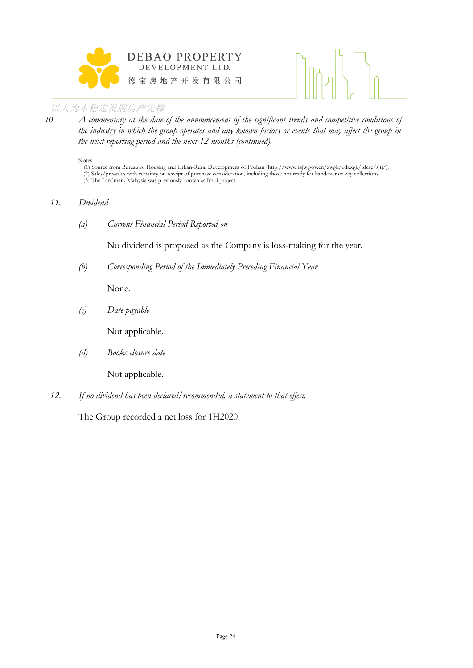



*10 A commentary at the date of the announcement of the significant trends and competitive conditions of the industry in which the group operates and any known factors or events that may affect the group in the next reporting period and the next 12 months (continued).*

Notes

(1) Source from Bureau of Housing and Urban-Rural Development of Foshan (http://www.fsjw.gov.cn/zwgk/zdxxgk/fdcsc/sjtj/). (2) Sales/pre-sales with certainty on receipt of purchase consideration, including those not ready for handover or key collections. (3) The Landmark Malaysia was previously known as Imbi project.

#### *11. Dividend*

*(a) Current Financial Period Reported on*

No dividend is proposed as the Company is loss-making for the year.

*(b) Corresponding Period of the Immediately Preceding Financial Year*

None.

*(c) Date payable*

Not applicable.

*(d) Books closure date*

Not applicable.

*12. If no dividend has been declared/recommended, a statement to that effect.*

The Group recorded a net loss for 1H2020.